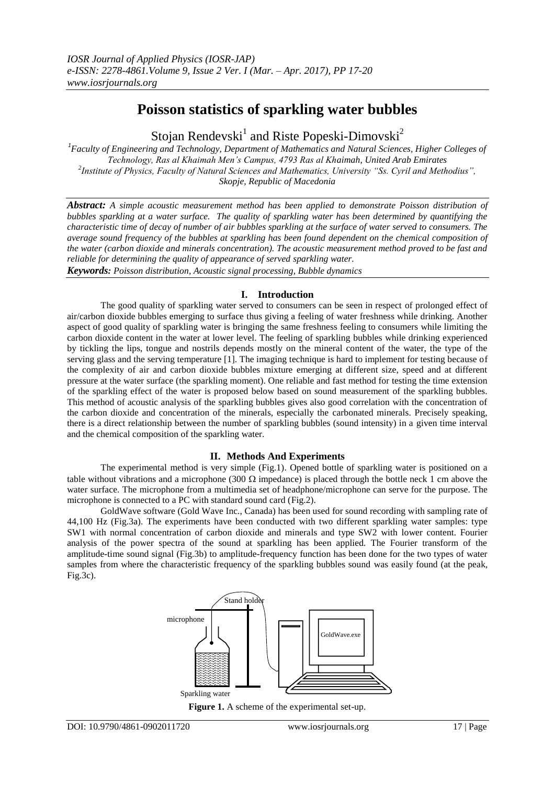# **Poisson statistics of sparkling water bubbles**

Stojan Rendevski<sup>1</sup> and Riste Popeski-Dimovski<sup>2</sup>

*1 Faculty of Engineering and Technology, Department of Mathematics and Natural Sciences, Higher Colleges of Technology, Ras al Khaimah Men's Campus, 4793 Ras al Khaimah, United Arab Emirates 2 Institute of Physics, Faculty of Natural Sciences and Mathematics, University "Ss. Cyril and Methodius", Skopje, Republic of Macedonia*

*Abstract: A simple acoustic measurement method has been applied to demonstrate Poisson distribution of bubbles sparkling at a water surface. The quality of sparkling water has been determined by quantifying the characteristic time of decay of number of air bubbles sparkling at the surface of water served to consumers. The average sound frequency of the bubbles at sparkling has been found dependent on the chemical composition of the water (carbon dioxide and minerals concentration). The acoustic measurement method proved to be fast and reliable for determining the quality of appearance of served sparkling water.*

*Keywords: Poisson distribution, Acoustic signal processing, Bubble dynamics*

## **I. Introduction**

The good quality of sparkling water served to consumers can be seen in respect of prolonged effect of air/carbon dioxide bubbles emerging to surface thus giving a feeling of water freshness while drinking. Another aspect of good quality of sparkling water is bringing the same freshness feeling to consumers while limiting the carbon dioxide content in the water at lower level. The feeling of sparkling bubbles while drinking experienced by tickling the lips, tongue and nostrils depends mostly on the mineral content of the water, the type of the serving glass and the serving temperature [1]. The imaging technique is hard to implement for testing because of the complexity of air and carbon dioxide bubbles mixture emerging at different size, speed and at different pressure at the water surface (the sparkling moment). One reliable and fast method for testing the time extension of the sparkling effect of the water is proposed below based on sound measurement of the sparkling bubbles. This method of acoustic analysis of the sparkling bubbles gives also good correlation with the concentration of the carbon dioxide and concentration of the minerals, especially the carbonated minerals. Precisely speaking, there is a direct relationship between the number of sparkling bubbles (sound intensity) in a given time interval and the chemical composition of the sparkling water.

## **II. Methods And Experiments**

The experimental method is very simple (Fig.1). Opened bottle of sparkling water is positioned on a table without vibrations and a microphone (300  $\Omega$  impedance) is placed through the bottle neck 1 cm above the water surface. The microphone from a multimedia set of headphone/microphone can serve for the purpose. The microphone is connected to a PC with standard sound card (Fig.2).

GoldWave software (Gold Wave Inc., Canada) has been used for sound recording with sampling rate of 44,100 Hz (Fig.3a). The experiments have been conducted with two different sparkling water samples: type SW1 with normal concentration of carbon dioxide and minerals and type SW2 with lower content. Fourier analysis of the power spectra of the sound at sparkling has been applied. The Fourier transform of the amplitude-time sound signal (Fig.3b) to amplitude-frequency function has been done for the two types of water samples from where the characteristic frequency of the sparkling bubbles sound was easily found (at the peak, Fig.3c).



**Figure 1.** A scheme of the experimental set-up.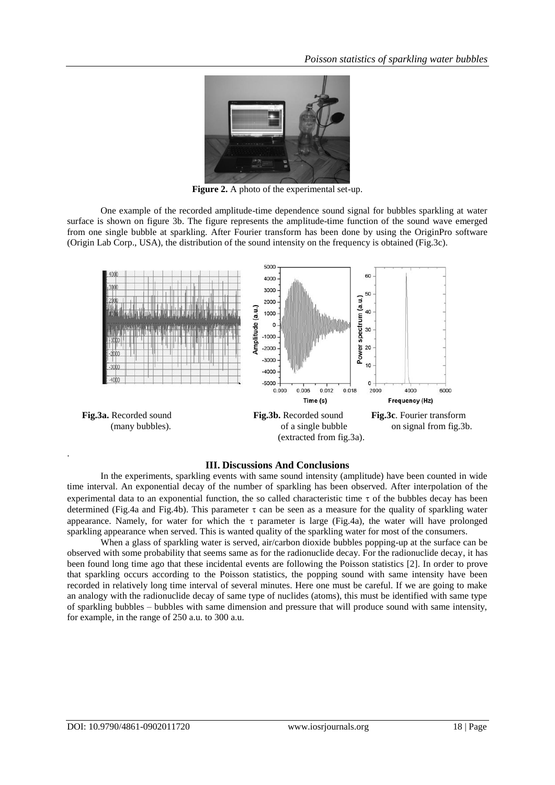

**Figure 2.** A photo of the experimental set-up.

One example of the recorded amplitude-time dependence sound signal for bubbles sparkling at water surface is shown on figure 3b. The figure represents the amplitude-time function of the sound wave emerged from one single bubble at sparkling. After Fourier transform has been done by using the OriginPro software (Origin Lab Corp., USA), the distribution of the sound intensity on the frequency is obtained (Fig.3c).



#### **III. Discussions And Conclusions**

In the experiments, sparkling events with same sound intensity (amplitude) have been counted in wide time interval. An exponential decay of the number of sparkling has been observed. After interpolation of the experimental data to an exponential function, the so called characteristic time  $\tau$  of the bubbles decay has been determined (Fig.4a and Fig.4b). This parameter  $\tau$  can be seen as a measure for the quality of sparkling water appearance. Namely, for water for which the  $\tau$  parameter is large (Fig.4a), the water will have prolonged sparkling appearance when served. This is wanted quality of the sparkling water for most of the consumers.

When a glass of sparkling water is served, air/carbon dioxide bubbles popping-up at the surface can be observed with some probability that seems same as for the radionuclide decay. For the radionuclide decay, it has been found long time ago that these incidental events are following the Poisson statistics [2]. In order to prove that sparkling occurs according to the Poisson statistics, the popping sound with same intensity have been recorded in relatively long time interval of several minutes. Here one must be careful. If we are going to make an analogy with the radionuclide decay of same type of nuclides (atoms), this must be identified with same type of sparkling bubbles – bubbles with same dimension and pressure that will produce sound with same intensity, for example, in the range of 250 a.u. to 300 a.u.

.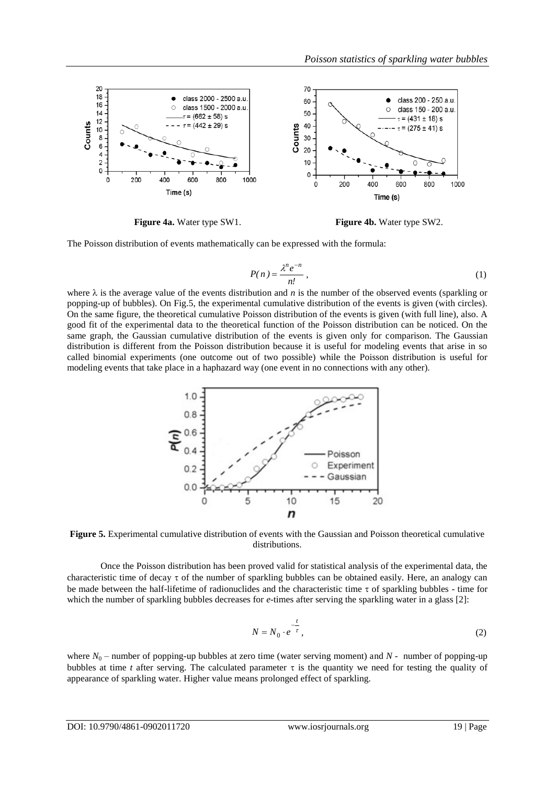

**Figure 4a.** Water type SW1. **Figure 4b.** Water type SW2.

The Poisson distribution of events mathematically can be expressed with the formula:

$$
P(n) = \frac{\lambda^n e^{-n}}{n!},
$$
\n(1)

where  $\lambda$  is the average value of the events distribution and *n* is the number of the observed events (sparkling or popping-up of bubbles). On Fig.5, the experimental cumulative distribution of the events is given (with circles). On the same figure, the theoretical cumulative Poisson distribution of the events is given (with full line), also. A good fit of the experimental data to the theoretical function of the Poisson distribution can be noticed. On the same graph, the Gaussian cumulative distribution of the events is given only for comparison. The Gaussian distribution is different from the Poisson distribution because it is useful for modeling events that arise in so called binomial experiments (one outcome out of two possible) while the Poisson distribution is useful for modeling events that take place in a haphazard way (one event in no connections with any other).



**Figure 5.** Experimental cumulative distribution of events with the Gaussian and Poisson theoretical cumulative distributions.

Once the Poisson distribution has been proved valid for statistical analysis of the experimental data, the characteristic time of decay  $\tau$  of the number of sparkling bubbles can be obtained easily. Here, an analogy can be made between the half-lifetime of radionuclides and the characteristic time  $\tau$  of sparkling bubbles - time for which the number of sparkling bubbles decreases for *e*-times after serving the sparkling water in a glass [2]:

$$
N = N_0 \cdot e^{-\frac{t}{\tau}},\tag{2}
$$

where  $N_0$  – number of popping-up bubbles at zero time (water serving moment) and  $N$  - number of popping-up bubbles at time *t* after serving. The calculated parameter  $\tau$  is the quantity we need for testing the quality of appearance of sparkling water. Higher value means prolonged effect of sparkling.